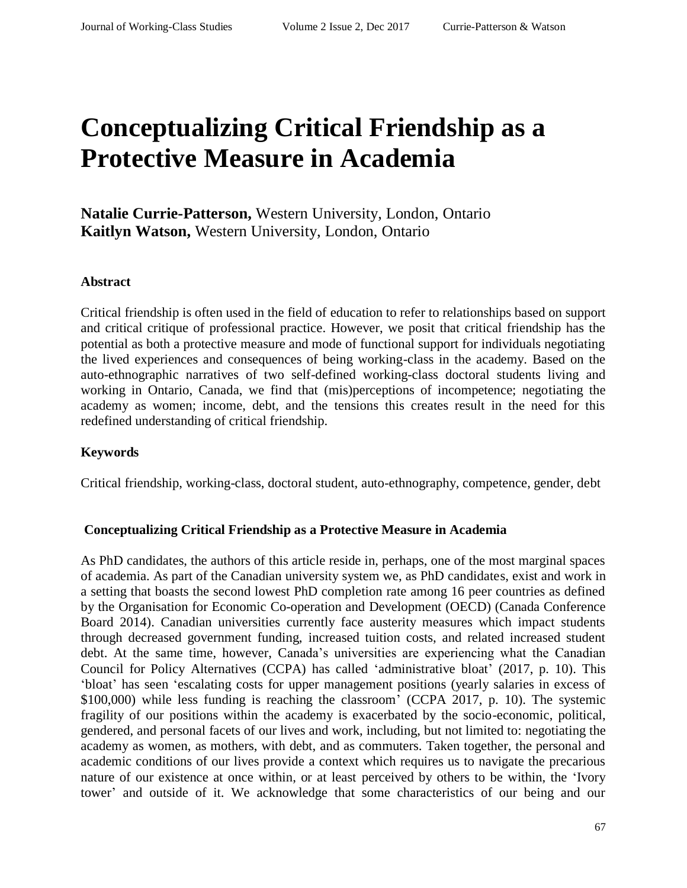# **Conceptualizing Critical Friendship as a Protective Measure in Academia**

**Natalie Currie-Patterson,** Western University, London, Ontario **Kaitlyn Watson,** Western University, London, Ontario

#### **Abstract**

Critical friendship is often used in the field of education to refer to relationships based on support and critical critique of professional practice. However, we posit that critical friendship has the potential as both a protective measure and mode of functional support for individuals negotiating the lived experiences and consequences of being working-class in the academy. Based on the auto-ethnographic narratives of two self-defined working-class doctoral students living and working in Ontario, Canada, we find that (mis)perceptions of incompetence; negotiating the academy as women; income, debt, and the tensions this creates result in the need for this redefined understanding of critical friendship.

#### **Keywords**

Critical friendship, working-class, doctoral student, auto-ethnography, competence, gender, debt

#### **Conceptualizing Critical Friendship as a Protective Measure in Academia**

As PhD candidates, the authors of this article reside in, perhaps, one of the most marginal spaces of academia. As part of the Canadian university system we, as PhD candidates, exist and work in a setting that boasts the second lowest PhD completion rate among 16 peer countries as defined by the Organisation for Economic Co-operation and Development (OECD) (Canada Conference Board 2014). Canadian universities currently face austerity measures which impact students through decreased government funding, increased tuition costs, and related increased student debt. At the same time, however, Canada's universities are experiencing what the Canadian Council for Policy Alternatives (CCPA) has called 'administrative bloat' (2017, p. 10). This 'bloat' has seen 'escalating costs for upper management positions (yearly salaries in excess of \$100,000) while less funding is reaching the classroom' (CCPA 2017, p. 10). The systemic fragility of our positions within the academy is exacerbated by the socio-economic, political, gendered, and personal facets of our lives and work, including, but not limited to: negotiating the academy as women, as mothers, with debt, and as commuters. Taken together, the personal and academic conditions of our lives provide a context which requires us to navigate the precarious nature of our existence at once within, or at least perceived by others to be within, the 'Ivory tower' and outside of it. We acknowledge that some characteristics of our being and our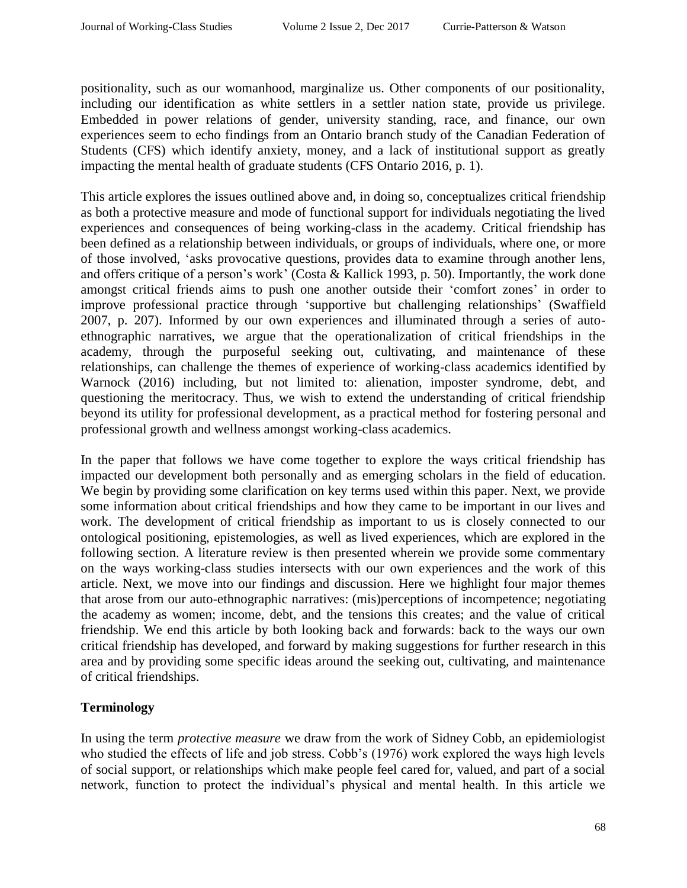positionality, such as our womanhood, marginalize us. Other components of our positionality, including our identification as white settlers in a settler nation state, provide us privilege. Embedded in power relations of gender, university standing, race, and finance, our own experiences seem to echo findings from an Ontario branch study of the Canadian Federation of Students (CFS) which identify anxiety, money, and a lack of institutional support as greatly impacting the mental health of graduate students (CFS Ontario 2016, p. 1).

This article explores the issues outlined above and, in doing so, conceptualizes critical friendship as both a protective measure and mode of functional support for individuals negotiating the lived experiences and consequences of being working-class in the academy. Critical friendship has been defined as a relationship between individuals, or groups of individuals, where one, or more of those involved, 'asks provocative questions, provides data to examine through another lens, and offers critique of a person's work' (Costa & Kallick 1993, p. 50). Importantly, the work done amongst critical friends aims to push one another outside their 'comfort zones' in order to improve professional practice through 'supportive but challenging relationships' (Swaffield 2007, p. 207). Informed by our own experiences and illuminated through a series of autoethnographic narratives, we argue that the operationalization of critical friendships in the academy, through the purposeful seeking out, cultivating, and maintenance of these relationships, can challenge the themes of experience of working-class academics identified by Warnock (2016) including, but not limited to: alienation, imposter syndrome, debt, and questioning the meritocracy. Thus, we wish to extend the understanding of critical friendship beyond its utility for professional development, as a practical method for fostering personal and professional growth and wellness amongst working-class academics.

In the paper that follows we have come together to explore the ways critical friendship has impacted our development both personally and as emerging scholars in the field of education. We begin by providing some clarification on key terms used within this paper. Next, we provide some information about critical friendships and how they came to be important in our lives and work. The development of critical friendship as important to us is closely connected to our ontological positioning, epistemologies, as well as lived experiences, which are explored in the following section. A literature review is then presented wherein we provide some commentary on the ways working-class studies intersects with our own experiences and the work of this article. Next, we move into our findings and discussion. Here we highlight four major themes that arose from our auto-ethnographic narratives: (mis)perceptions of incompetence; negotiating the academy as women; income, debt, and the tensions this creates; and the value of critical friendship. We end this article by both looking back and forwards: back to the ways our own critical friendship has developed, and forward by making suggestions for further research in this area and by providing some specific ideas around the seeking out, cultivating, and maintenance of critical friendships.

# **Terminology**

In using the term *protective measure* we draw from the work of Sidney Cobb, an epidemiologist who studied the effects of life and job stress. Cobb's (1976) work explored the ways high levels of social support, or relationships which make people feel cared for, valued, and part of a social network, function to protect the individual's physical and mental health. In this article we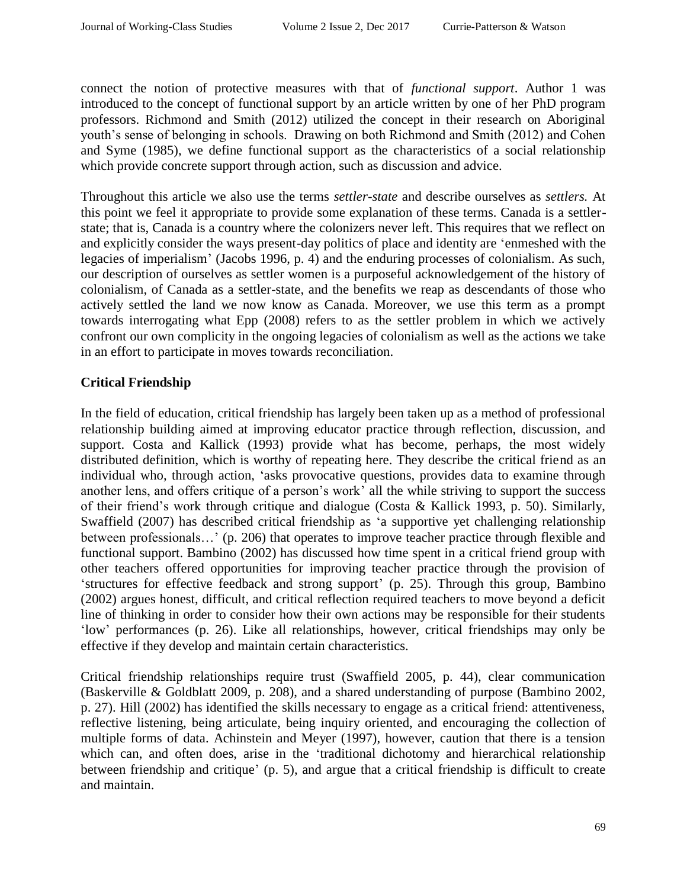connect the notion of protective measures with that of *functional support*. Author 1 was introduced to the concept of functional support by an article written by one of her PhD program professors. Richmond and Smith (2012) utilized the concept in their research on Aboriginal youth's sense of belonging in schools. Drawing on both Richmond and Smith (2012) and Cohen and Syme (1985), we define functional support as the characteristics of a social relationship which provide concrete support through action, such as discussion and advice.

Throughout this article we also use the terms *settler-state* and describe ourselves as *settlers.* At this point we feel it appropriate to provide some explanation of these terms. Canada is a settlerstate; that is, Canada is a country where the colonizers never left. This requires that we reflect on and explicitly consider the ways present-day politics of place and identity are 'enmeshed with the legacies of imperialism' (Jacobs 1996, p. 4) and the enduring processes of colonialism. As such, our description of ourselves as settler women is a purposeful acknowledgement of the history of colonialism, of Canada as a settler-state, and the benefits we reap as descendants of those who actively settled the land we now know as Canada. Moreover, we use this term as a prompt towards interrogating what Epp (2008) refers to as the settler problem in which we actively confront our own complicity in the ongoing legacies of colonialism as well as the actions we take in an effort to participate in moves towards reconciliation.

# **Critical Friendship**

In the field of education, critical friendship has largely been taken up as a method of professional relationship building aimed at improving educator practice through reflection, discussion, and support. Costa and Kallick (1993) provide what has become, perhaps, the most widely distributed definition, which is worthy of repeating here. They describe the critical friend as an individual who, through action, 'asks provocative questions, provides data to examine through another lens, and offers critique of a person's work' all the while striving to support the success of their friend's work through critique and dialogue (Costa & Kallick 1993, p. 50). Similarly, Swaffield (2007) has described critical friendship as 'a supportive yet challenging relationship between professionals…' (p. 206) that operates to improve teacher practice through flexible and functional support. Bambino (2002) has discussed how time spent in a critical friend group with other teachers offered opportunities for improving teacher practice through the provision of 'structures for effective feedback and strong support' (p. 25). Through this group, Bambino (2002) argues honest, difficult, and critical reflection required teachers to move beyond a deficit line of thinking in order to consider how their own actions may be responsible for their students 'low' performances (p. 26). Like all relationships, however, critical friendships may only be effective if they develop and maintain certain characteristics.

Critical friendship relationships require trust (Swaffield 2005, p. 44), clear communication (Baskerville & Goldblatt 2009, p. 208), and a shared understanding of purpose (Bambino 2002, p. 27). Hill (2002) has identified the skills necessary to engage as a critical friend: attentiveness, reflective listening, being articulate, being inquiry oriented, and encouraging the collection of multiple forms of data. Achinstein and Meyer (1997), however, caution that there is a tension which can, and often does, arise in the 'traditional dichotomy and hierarchical relationship between friendship and critique' (p. 5), and argue that a critical friendship is difficult to create and maintain.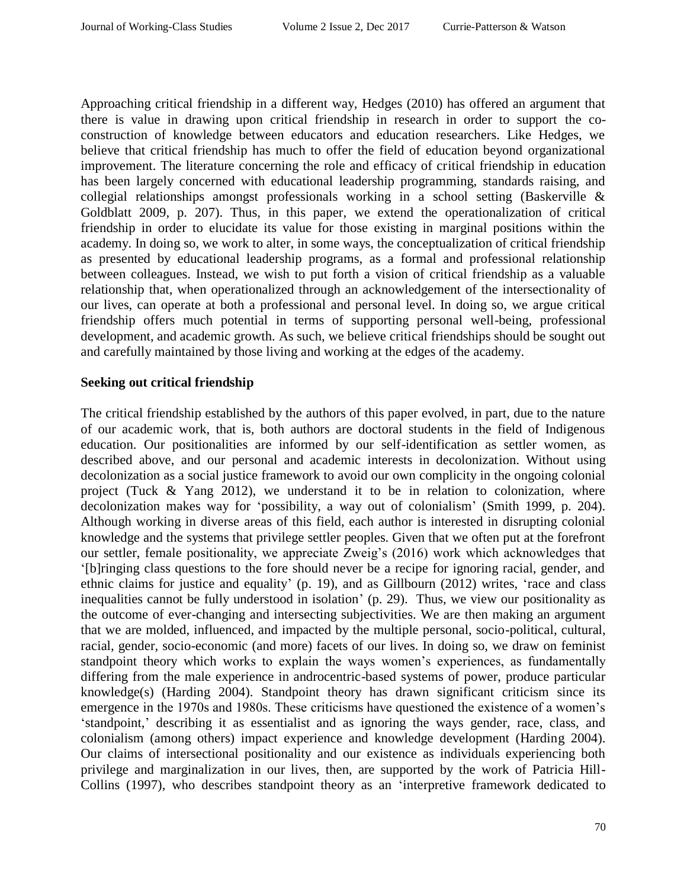Approaching critical friendship in a different way, Hedges (2010) has offered an argument that there is value in drawing upon critical friendship in research in order to support the coconstruction of knowledge between educators and education researchers. Like Hedges, we believe that critical friendship has much to offer the field of education beyond organizational improvement. The literature concerning the role and efficacy of critical friendship in education has been largely concerned with educational leadership programming, standards raising, and collegial relationships amongst professionals working in a school setting (Baskerville & Goldblatt 2009, p. 207). Thus, in this paper, we extend the operationalization of critical friendship in order to elucidate its value for those existing in marginal positions within the academy. In doing so, we work to alter, in some ways, the conceptualization of critical friendship as presented by educational leadership programs, as a formal and professional relationship between colleagues. Instead, we wish to put forth a vision of critical friendship as a valuable relationship that, when operationalized through an acknowledgement of the intersectionality of our lives, can operate at both a professional and personal level. In doing so, we argue critical friendship offers much potential in terms of supporting personal well-being, professional development, and academic growth. As such, we believe critical friendships should be sought out and carefully maintained by those living and working at the edges of the academy.

## **Seeking out critical friendship**

The critical friendship established by the authors of this paper evolved, in part, due to the nature of our academic work, that is, both authors are doctoral students in the field of Indigenous education. Our positionalities are informed by our self-identification as settler women, as described above, and our personal and academic interests in decolonization. Without using decolonization as a social justice framework to avoid our own complicity in the ongoing colonial project (Tuck & Yang 2012), we understand it to be in relation to colonization, where decolonization makes way for 'possibility, a way out of colonialism' (Smith 1999, p. 204). Although working in diverse areas of this field, each author is interested in disrupting colonial knowledge and the systems that privilege settler peoples. Given that we often put at the forefront our settler, female positionality, we appreciate Zweig's (2016) work which acknowledges that '[b]ringing class questions to the fore should never be a recipe for ignoring racial, gender, and ethnic claims for justice and equality' (p. 19), and as Gillbourn (2012) writes, 'race and class inequalities cannot be fully understood in isolation' (p. 29). Thus, we view our positionality as the outcome of ever-changing and intersecting subjectivities. We are then making an argument that we are molded, influenced, and impacted by the multiple personal, socio-political, cultural, racial, gender, socio-economic (and more) facets of our lives. In doing so, we draw on feminist standpoint theory which works to explain the ways women's experiences, as fundamentally differing from the male experience in androcentric-based systems of power, produce particular knowledge(s) (Harding 2004). Standpoint theory has drawn significant criticism since its emergence in the 1970s and 1980s. These criticisms have questioned the existence of a women's 'standpoint,' describing it as essentialist and as ignoring the ways gender, race, class, and colonialism (among others) impact experience and knowledge development (Harding 2004). Our claims of intersectional positionality and our existence as individuals experiencing both privilege and marginalization in our lives, then, are supported by the work of Patricia Hill-Collins (1997), who describes standpoint theory as an 'interpretive framework dedicated to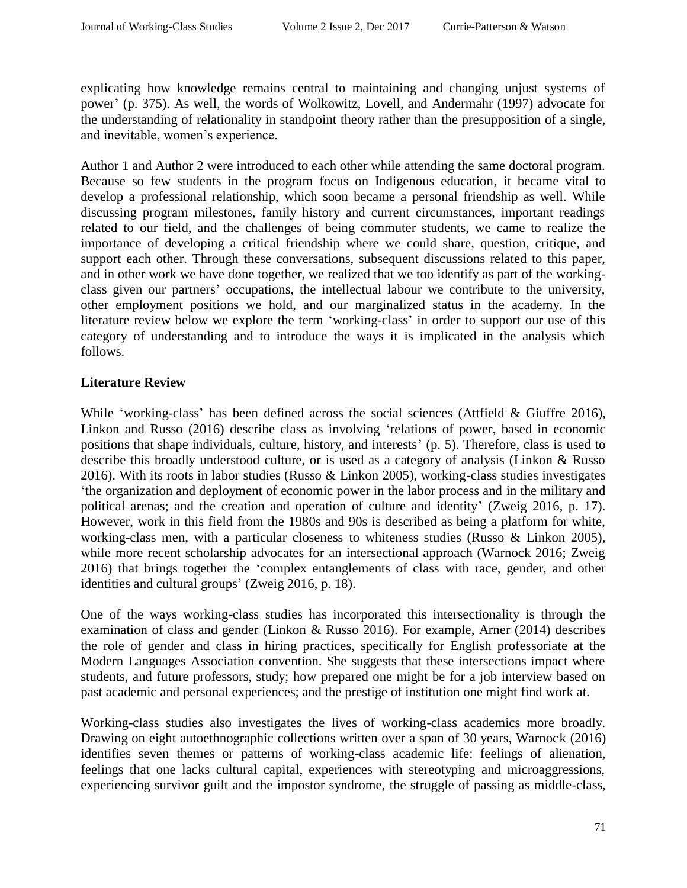explicating how knowledge remains central to maintaining and changing unjust systems of power' (p. 375). As well, the words of Wolkowitz, Lovell, and Andermahr (1997) advocate for the understanding of relationality in standpoint theory rather than the presupposition of a single, and inevitable, women's experience.

Author 1 and Author 2 were introduced to each other while attending the same doctoral program. Because so few students in the program focus on Indigenous education, it became vital to develop a professional relationship, which soon became a personal friendship as well. While discussing program milestones, family history and current circumstances, important readings related to our field, and the challenges of being commuter students, we came to realize the importance of developing a critical friendship where we could share, question, critique, and support each other. Through these conversations, subsequent discussions related to this paper, and in other work we have done together, we realized that we too identify as part of the workingclass given our partners' occupations, the intellectual labour we contribute to the university, other employment positions we hold, and our marginalized status in the academy. In the literature review below we explore the term 'working-class' in order to support our use of this category of understanding and to introduce the ways it is implicated in the analysis which follows.

## **Literature Review**

While 'working-class' has been defined across the social sciences (Attfield & Giuffre 2016), Linkon and Russo (2016) describe class as involving 'relations of power, based in economic positions that shape individuals, culture, history, and interests' (p. 5). Therefore, class is used to describe this broadly understood culture, or is used as a category of analysis (Linkon & Russo 2016). With its roots in labor studies (Russo & Linkon 2005), working-class studies investigates 'the organization and deployment of economic power in the labor process and in the military and political arenas; and the creation and operation of culture and identity' (Zweig 2016, p. 17). However, work in this field from the 1980s and 90s is described as being a platform for white, working-class men, with a particular closeness to whiteness studies (Russo & Linkon 2005), while more recent scholarship advocates for an intersectional approach (Warnock 2016; Zweig 2016) that brings together the 'complex entanglements of class with race, gender, and other identities and cultural groups' (Zweig 2016, p. 18).

One of the ways working-class studies has incorporated this intersectionality is through the examination of class and gender (Linkon & Russo 2016). For example, Arner (2014) describes the role of gender and class in hiring practices, specifically for English professoriate at the Modern Languages Association convention. She suggests that these intersections impact where students, and future professors, study; how prepared one might be for a job interview based on past academic and personal experiences; and the prestige of institution one might find work at.

Working-class studies also investigates the lives of working-class academics more broadly. Drawing on eight autoethnographic collections written over a span of 30 years, Warnock (2016) identifies seven themes or patterns of working-class academic life: feelings of alienation, feelings that one lacks cultural capital, experiences with stereotyping and microaggressions, experiencing survivor guilt and the impostor syndrome, the struggle of passing as middle-class,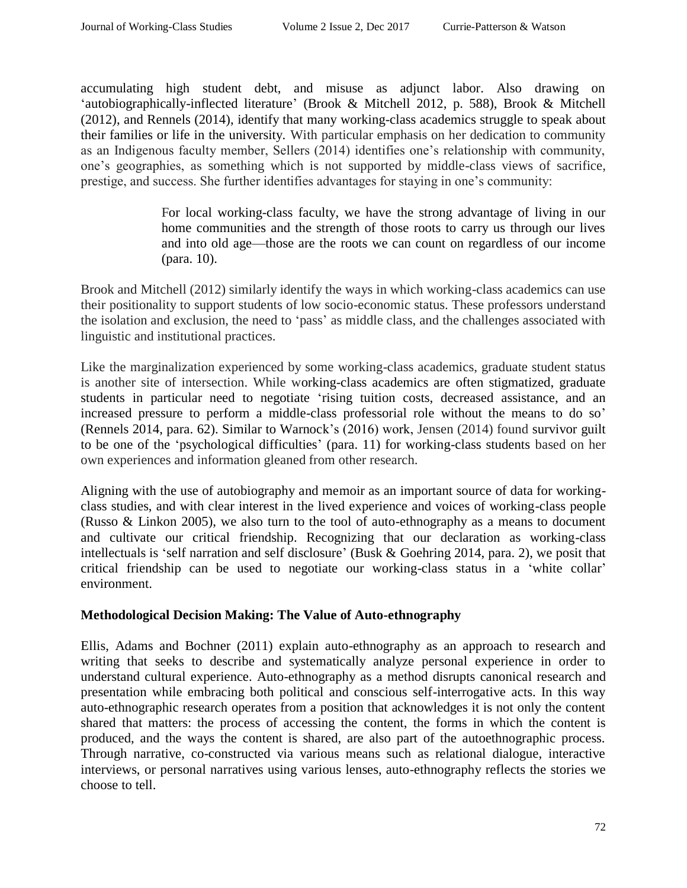accumulating high student debt, and misuse as adjunct labor. Also drawing on 'autobiographically-inflected literature' (Brook & Mitchell 2012, p. 588), Brook & Mitchell (2012), and Rennels (2014), identify that many working-class academics struggle to speak about their families or life in the university. With particular emphasis on her dedication to community as an Indigenous faculty member, Sellers (2014) identifies one's relationship with community, one's geographies, as something which is not supported by middle-class views of sacrifice, prestige, and success. She further identifies advantages for staying in one's community:

> For local working-class faculty, we have the strong advantage of living in our home communities and the strength of those roots to carry us through our lives and into old age—those are the roots we can count on regardless of our income (para. 10).

Brook and Mitchell (2012) similarly identify the ways in which working-class academics can use their positionality to support students of low socio-economic status. These professors understand the isolation and exclusion, the need to 'pass' as middle class, and the challenges associated with linguistic and institutional practices.

Like the marginalization experienced by some working-class academics, graduate student status is another site of intersection. While working-class academics are often stigmatized, graduate students in particular need to negotiate 'rising tuition costs, decreased assistance, and an increased pressure to perform a middle-class professorial role without the means to do so' (Rennels 2014, para. 62). Similar to Warnock's (2016) work, Jensen (2014) found survivor guilt to be one of the 'psychological difficulties' (para. 11) for working-class students based on her own experiences and information gleaned from other research.

Aligning with the use of autobiography and memoir as an important source of data for workingclass studies, and with clear interest in the lived experience and voices of working-class people (Russo & Linkon 2005), we also turn to the tool of auto-ethnography as a means to document and cultivate our critical friendship. Recognizing that our declaration as working-class intellectuals is 'self narration and self disclosure' (Busk & Goehring 2014, para. 2), we posit that critical friendship can be used to negotiate our working-class status in a 'white collar' environment.

## **Methodological Decision Making: The Value of Auto-ethnography**

Ellis, Adams and Bochner (2011) explain auto-ethnography as an approach to research and writing that seeks to describe and systematically analyze personal experience in order to understand cultural experience. Auto-ethnography as a method disrupts canonical research and presentation while embracing both political and conscious self-interrogative acts. In this way auto-ethnographic research operates from a position that acknowledges it is not only the content shared that matters: the process of accessing the content, the forms in which the content is produced, and the ways the content is shared, are also part of the autoethnographic process. Through narrative, co-constructed via various means such as relational dialogue, interactive interviews, or personal narratives using various lenses, auto-ethnography reflects the stories we choose to tell.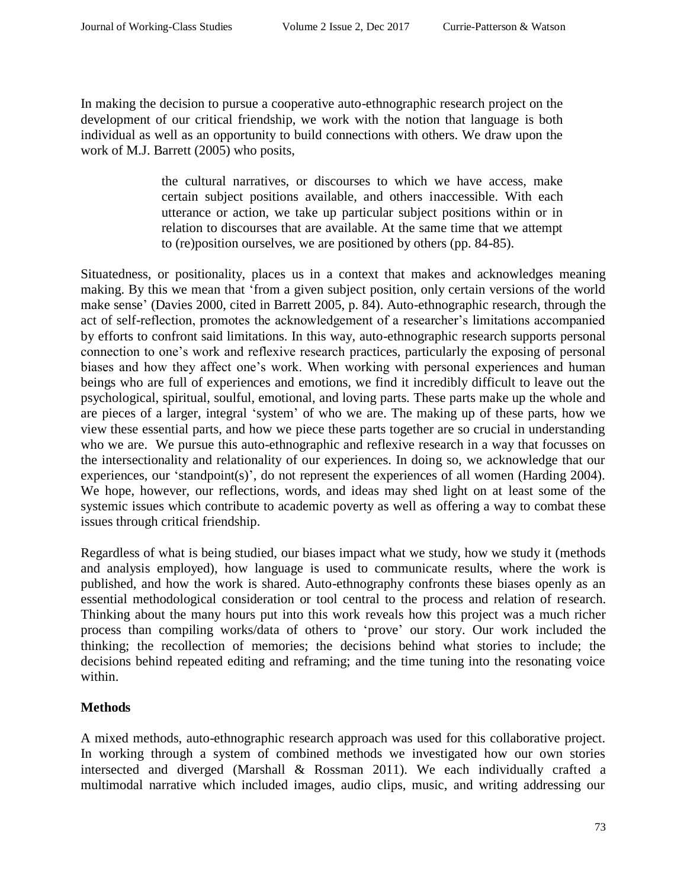In making the decision to pursue a cooperative auto-ethnographic research project on the development of our critical friendship, we work with the notion that language is both individual as well as an opportunity to build connections with others. We draw upon the work of M.J. Barrett (2005) who posits,

> the cultural narratives, or discourses to which we have access, make certain subject positions available, and others inaccessible. With each utterance or action, we take up particular subject positions within or in relation to discourses that are available. At the same time that we attempt to (re)position ourselves, we are positioned by others (pp. 84-85).

Situatedness, or positionality, places us in a context that makes and acknowledges meaning making. By this we mean that 'from a given subject position, only certain versions of the world make sense' (Davies 2000, cited in Barrett 2005, p. 84). Auto-ethnographic research, through the act of self-reflection, promotes the acknowledgement of a researcher's limitations accompanied by efforts to confront said limitations. In this way, auto-ethnographic research supports personal connection to one's work and reflexive research practices, particularly the exposing of personal biases and how they affect one's work. When working with personal experiences and human beings who are full of experiences and emotions, we find it incredibly difficult to leave out the psychological, spiritual, soulful, emotional, and loving parts. These parts make up the whole and are pieces of a larger, integral 'system' of who we are. The making up of these parts, how we view these essential parts, and how we piece these parts together are so crucial in understanding who we are. We pursue this auto-ethnographic and reflexive research in a way that focusses on the intersectionality and relationality of our experiences. In doing so, we acknowledge that our experiences, our 'standpoint(s)', do not represent the experiences of all women (Harding 2004). We hope, however, our reflections, words, and ideas may shed light on at least some of the systemic issues which contribute to academic poverty as well as offering a way to combat these issues through critical friendship.

Regardless of what is being studied, our biases impact what we study, how we study it (methods and analysis employed), how language is used to communicate results, where the work is published, and how the work is shared. Auto-ethnography confronts these biases openly as an essential methodological consideration or tool central to the process and relation of research. Thinking about the many hours put into this work reveals how this project was a much richer process than compiling works/data of others to 'prove' our story. Our work included the thinking; the recollection of memories; the decisions behind what stories to include; the decisions behind repeated editing and reframing; and the time tuning into the resonating voice within.

# **Methods**

A mixed methods, auto-ethnographic research approach was used for this collaborative project. In working through a system of combined methods we investigated how our own stories intersected and diverged (Marshall & Rossman 2011). We each individually crafted a multimodal narrative which included images, audio clips, music, and writing addressing our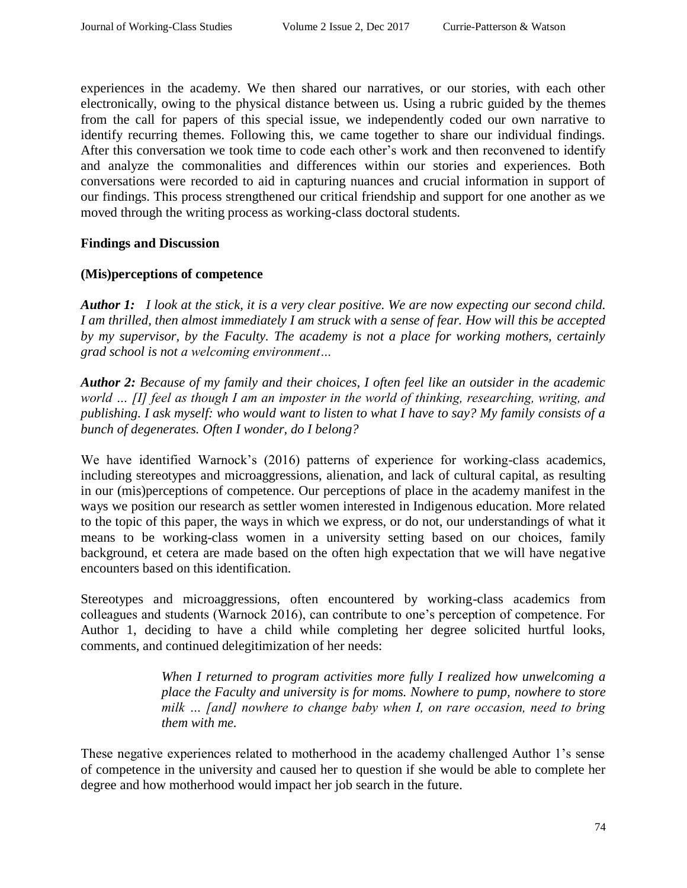experiences in the academy. We then shared our narratives, or our stories, with each other electronically, owing to the physical distance between us. Using a rubric guided by the themes from the call for papers of this special issue, we independently coded our own narrative to identify recurring themes. Following this, we came together to share our individual findings. After this conversation we took time to code each other's work and then reconvened to identify and analyze the commonalities and differences within our stories and experiences. Both conversations were recorded to aid in capturing nuances and crucial information in support of our findings. This process strengthened our critical friendship and support for one another as we moved through the writing process as working-class doctoral students.

#### **Findings and Discussion**

#### **(Mis)perceptions of competence**

*Author 1: I look at the stick, it is a very clear positive. We are now expecting our second child. I am thrilled, then almost immediately I am struck with a sense of fear. How will this be accepted by my supervisor, by the Faculty. The academy is not a place for working mothers, certainly grad school is not a welcoming environment…* 

*Author 2: Because of my family and their choices, I often feel like an outsider in the academic world … [I] feel as though I am an imposter in the world of thinking, researching, writing, and publishing. I ask myself: who would want to listen to what I have to say? My family consists of a bunch of degenerates. Often I wonder, do I belong?*

We have identified Warnock's (2016) patterns of experience for working-class academics, including stereotypes and microaggressions, alienation, and lack of cultural capital, as resulting in our (mis)perceptions of competence. Our perceptions of place in the academy manifest in the ways we position our research as settler women interested in Indigenous education. More related to the topic of this paper, the ways in which we express, or do not, our understandings of what it means to be working-class women in a university setting based on our choices, family background, et cetera are made based on the often high expectation that we will have negative encounters based on this identification.

Stereotypes and microaggressions, often encountered by working-class academics from colleagues and students (Warnock 2016), can contribute to one's perception of competence. For Author 1, deciding to have a child while completing her degree solicited hurtful looks, comments, and continued delegitimization of her needs:

> *When I returned to program activities more fully I realized how unwelcoming a place the Faculty and university is for moms. Nowhere to pump, nowhere to store milk … [and] nowhere to change baby when I, on rare occasion, need to bring them with me.*

These negative experiences related to motherhood in the academy challenged Author 1's sense of competence in the university and caused her to question if she would be able to complete her degree and how motherhood would impact her job search in the future.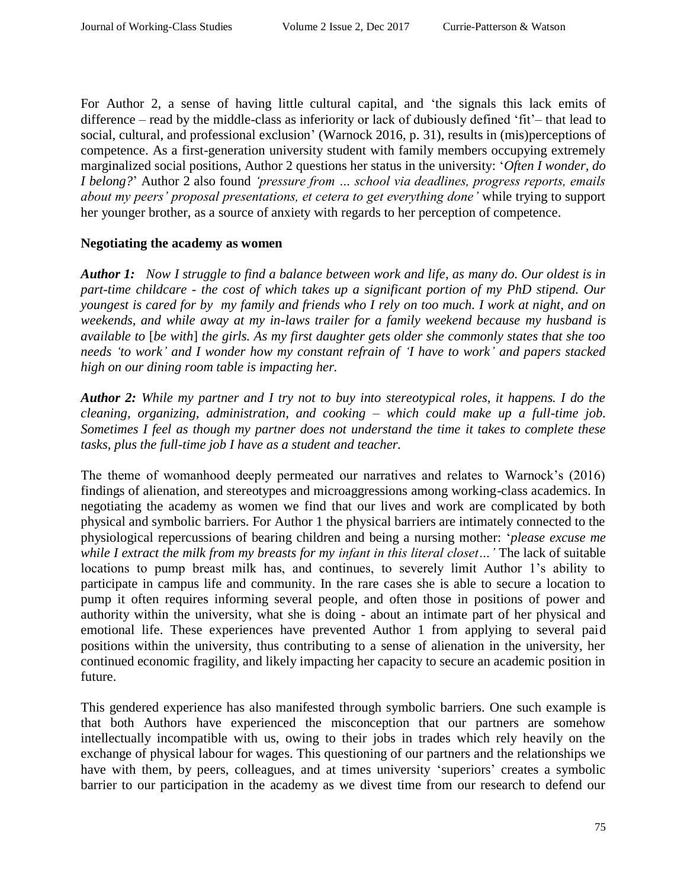For Author 2, a sense of having little cultural capital, and 'the signals this lack emits of difference – read by the middle-class as inferiority or lack of dubiously defined 'fit'– that lead to social, cultural, and professional exclusion' (Warnock 2016, p. 31), results in (mis)perceptions of competence. As a first-generation university student with family members occupying extremely marginalized social positions, Author 2 questions her status in the university: '*Often I wonder, do I belong?*' Author 2 also found *'pressure from … school via deadlines, progress reports, emails about my peers' proposal presentations, et cetera to get everything done'* while trying to support her younger brother, as a source of anxiety with regards to her perception of competence.

## **Negotiating the academy as women**

*Author 1: Now I struggle to find a balance between work and life, as many do. Our oldest is in part-time childcare - the cost of which takes up a significant portion of my PhD stipend. Our youngest is cared for by my family and friends who I rely on too much. I work at night, and on weekends, and while away at my in-laws trailer for a family weekend because my husband is available to* [*be with*] *the girls. As my first daughter gets older she commonly states that she too needs 'to work' and I wonder how my constant refrain of 'I have to work' and papers stacked high on our dining room table is impacting her.* 

*Author 2: While my partner and I try not to buy into stereotypical roles, it happens. I do the cleaning, organizing, administration, and cooking – which could make up a full-time job. Sometimes I feel as though my partner does not understand the time it takes to complete these tasks, plus the full-time job I have as a student and teacher.*

The theme of womanhood deeply permeated our narratives and relates to Warnock's (2016) findings of alienation, and stereotypes and microaggressions among working-class academics. In negotiating the academy as women we find that our lives and work are complicated by both physical and symbolic barriers. For Author 1 the physical barriers are intimately connected to the physiological repercussions of bearing children and being a nursing mother: '*please excuse me while I extract the milk from my breasts for my infant in this literal closet…'* The lack of suitable locations to pump breast milk has, and continues, to severely limit Author 1's ability to participate in campus life and community. In the rare cases she is able to secure a location to pump it often requires informing several people, and often those in positions of power and authority within the university, what she is doing - about an intimate part of her physical and emotional life. These experiences have prevented Author 1 from applying to several paid positions within the university, thus contributing to a sense of alienation in the university, her continued economic fragility, and likely impacting her capacity to secure an academic position in future.

This gendered experience has also manifested through symbolic barriers. One such example is that both Authors have experienced the misconception that our partners are somehow intellectually incompatible with us, owing to their jobs in trades which rely heavily on the exchange of physical labour for wages. This questioning of our partners and the relationships we have with them, by peers, colleagues, and at times university 'superiors' creates a symbolic barrier to our participation in the academy as we divest time from our research to defend our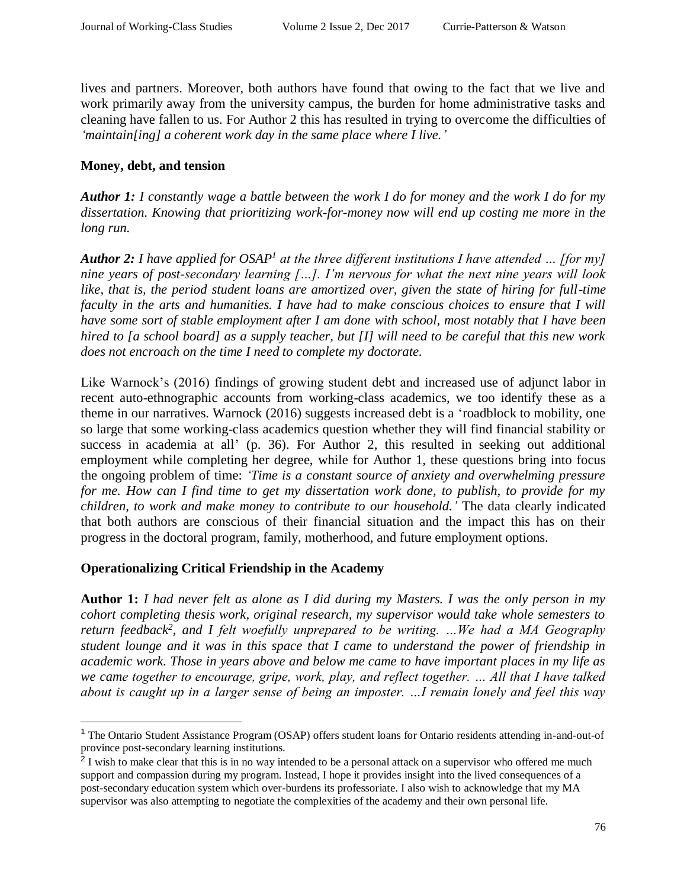lives and partners. Moreover, both authors have found that owing to the fact that we live and work primarily away from the university campus, the burden for home administrative tasks and cleaning have fallen to us. For Author 2 this has resulted in trying to overcome the difficulties of *'maintain[ing] a coherent work day in the same place where I live.'*

## **Money, debt, and tension**

*Author 1: I constantly wage a battle between the work I do for money and the work I do for my dissertation. Knowing that prioritizing work-for-money now will end up costing me more in the long run.*

*Author 2: I have applied for OSAP<sup>1</sup> at the three different institutions I have attended … [for my] nine years of post-secondary learning […]. I'm nervous for what the next nine years will look* like, that is, the period student loans are amortized over, given the state of hiring for full-time *faculty in the arts and humanities. I have had to make conscious choices to ensure that I will have some sort of stable employment after I am done with school, most notably that I have been hired to [a school board] as a supply teacher, but [I] will need to be careful that this new work does not encroach on the time I need to complete my doctorate.* 

Like Warnock's (2016) findings of growing student debt and increased use of adjunct labor in recent auto-ethnographic accounts from working-class academics, we too identify these as a theme in our narratives. Warnock (2016) suggests increased debt is a 'roadblock to mobility, one so large that some working-class academics question whether they will find financial stability or success in academia at all' (p. 36). For Author 2, this resulted in seeking out additional employment while completing her degree, while for Author 1, these questions bring into focus the ongoing problem of time: *'Time is a constant source of anxiety and overwhelming pressure for me. How can I find time to get my dissertation work done, to publish, to provide for my children, to work and make money to contribute to our household.'* The data clearly indicated that both authors are conscious of their financial situation and the impact this has on their progress in the doctoral program, family, motherhood, and future employment options.

# **Operationalizing Critical Friendship in the Academy**

 $\overline{a}$ 

**Author 1:** *I had never felt as alone as I did during my Masters. I was the only person in my cohort completing thesis work, original research, my supervisor would take whole semesters to return feedback<sup>2</sup> , and I felt woefully unprepared to be writing. …We had a MA Geography student lounge and it was in this space that I came to understand the power of friendship in academic work. Those in years above and below me came to have important places in my life as we came together to encourage, gripe, work, play, and reflect together. … All that I have talked about is caught up in a larger sense of being an imposter. …I remain lonely and feel this way* 

<sup>1</sup> The Ontario Student Assistance Program (OSAP) offers student loans for Ontario residents attending in-and-out-of province post-secondary learning institutions.

 $2$  I wish to make clear that this is in no way intended to be a personal attack on a supervisor who offered me much support and compassion during my program. Instead, I hope it provides insight into the lived consequences of a post-secondary education system which over-burdens its professoriate. I also wish to acknowledge that my MA supervisor was also attempting to negotiate the complexities of the academy and their own personal life.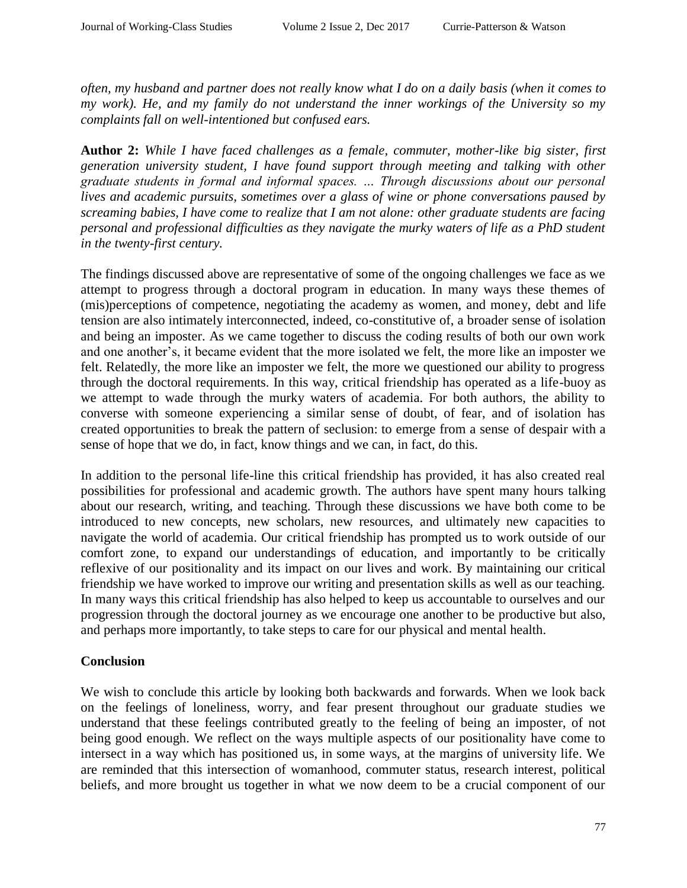*often, my husband and partner does not really know what I do on a daily basis (when it comes to my work). He, and my family do not understand the inner workings of the University so my complaints fall on well-intentioned but confused ears.*

**Author 2:** *While I have faced challenges as a female, commuter, mother-like big sister, first generation university student, I have found support through meeting and talking with other graduate students in formal and informal spaces. … Through discussions about our personal lives and academic pursuits, sometimes over a glass of wine or phone conversations paused by screaming babies, I have come to realize that I am not alone: other graduate students are facing personal and professional difficulties as they navigate the murky waters of life as a PhD student in the twenty-first century.*

The findings discussed above are representative of some of the ongoing challenges we face as we attempt to progress through a doctoral program in education. In many ways these themes of (mis)perceptions of competence, negotiating the academy as women, and money, debt and life tension are also intimately interconnected, indeed, co-constitutive of, a broader sense of isolation and being an imposter. As we came together to discuss the coding results of both our own work and one another's, it became evident that the more isolated we felt, the more like an imposter we felt. Relatedly, the more like an imposter we felt, the more we questioned our ability to progress through the doctoral requirements. In this way, critical friendship has operated as a life-buoy as we attempt to wade through the murky waters of academia. For both authors, the ability to converse with someone experiencing a similar sense of doubt, of fear, and of isolation has created opportunities to break the pattern of seclusion: to emerge from a sense of despair with a sense of hope that we do, in fact, know things and we can, in fact, do this.

In addition to the personal life-line this critical friendship has provided, it has also created real possibilities for professional and academic growth. The authors have spent many hours talking about our research, writing, and teaching. Through these discussions we have both come to be introduced to new concepts, new scholars, new resources, and ultimately new capacities to navigate the world of academia. Our critical friendship has prompted us to work outside of our comfort zone, to expand our understandings of education, and importantly to be critically reflexive of our positionality and its impact on our lives and work. By maintaining our critical friendship we have worked to improve our writing and presentation skills as well as our teaching. In many ways this critical friendship has also helped to keep us accountable to ourselves and our progression through the doctoral journey as we encourage one another to be productive but also, and perhaps more importantly, to take steps to care for our physical and mental health.

## **Conclusion**

We wish to conclude this article by looking both backwards and forwards. When we look back on the feelings of loneliness, worry, and fear present throughout our graduate studies we understand that these feelings contributed greatly to the feeling of being an imposter, of not being good enough. We reflect on the ways multiple aspects of our positionality have come to intersect in a way which has positioned us, in some ways, at the margins of university life. We are reminded that this intersection of womanhood, commuter status, research interest, political beliefs, and more brought us together in what we now deem to be a crucial component of our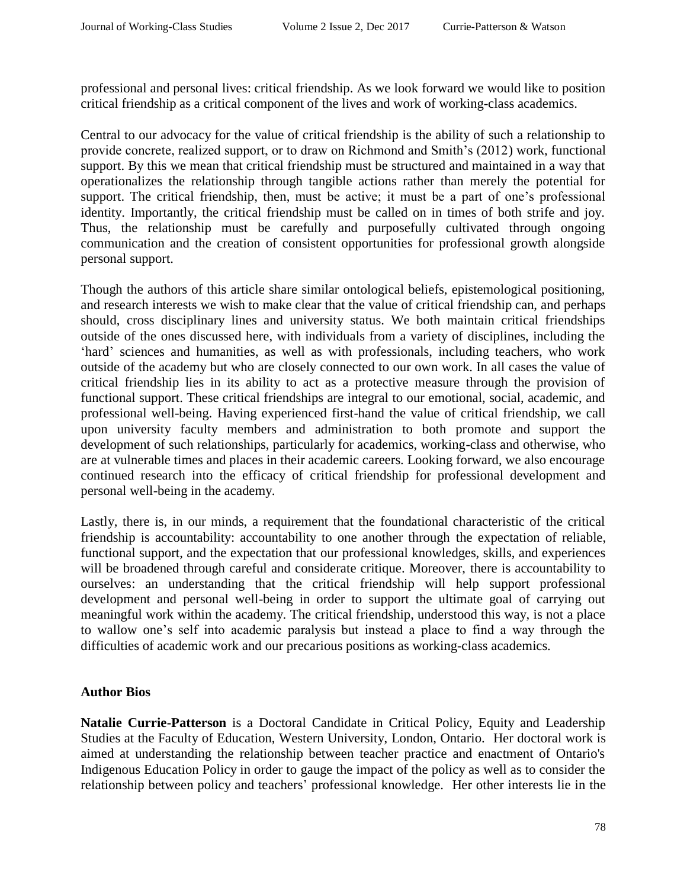professional and personal lives: critical friendship. As we look forward we would like to position critical friendship as a critical component of the lives and work of working-class academics.

Central to our advocacy for the value of critical friendship is the ability of such a relationship to provide concrete, realized support, or to draw on Richmond and Smith's (2012) work, functional support. By this we mean that critical friendship must be structured and maintained in a way that operationalizes the relationship through tangible actions rather than merely the potential for support. The critical friendship, then, must be active; it must be a part of one's professional identity. Importantly, the critical friendship must be called on in times of both strife and joy. Thus, the relationship must be carefully and purposefully cultivated through ongoing communication and the creation of consistent opportunities for professional growth alongside personal support.

Though the authors of this article share similar ontological beliefs, epistemological positioning, and research interests we wish to make clear that the value of critical friendship can, and perhaps should, cross disciplinary lines and university status. We both maintain critical friendships outside of the ones discussed here, with individuals from a variety of disciplines, including the 'hard' sciences and humanities, as well as with professionals, including teachers, who work outside of the academy but who are closely connected to our own work. In all cases the value of critical friendship lies in its ability to act as a protective measure through the provision of functional support. These critical friendships are integral to our emotional, social, academic, and professional well-being. Having experienced first-hand the value of critical friendship, we call upon university faculty members and administration to both promote and support the development of such relationships, particularly for academics, working-class and otherwise, who are at vulnerable times and places in their academic careers. Looking forward, we also encourage continued research into the efficacy of critical friendship for professional development and personal well-being in the academy.

Lastly, there is, in our minds, a requirement that the foundational characteristic of the critical friendship is accountability: accountability to one another through the expectation of reliable, functional support, and the expectation that our professional knowledges, skills, and experiences will be broadened through careful and considerate critique. Moreover, there is accountability to ourselves: an understanding that the critical friendship will help support professional development and personal well-being in order to support the ultimate goal of carrying out meaningful work within the academy. The critical friendship, understood this way, is not a place to wallow one's self into academic paralysis but instead a place to find a way through the difficulties of academic work and our precarious positions as working-class academics.

## **Author Bios**

**Natalie Currie-Patterson** is a Doctoral Candidate in Critical Policy, Equity and Leadership Studies at the Faculty of Education, Western University, London, Ontario. Her doctoral work is aimed at understanding the relationship between teacher practice and enactment of Ontario's Indigenous Education Policy in order to gauge the impact of the policy as well as to consider the relationship between policy and teachers' professional knowledge. Her other interests lie in the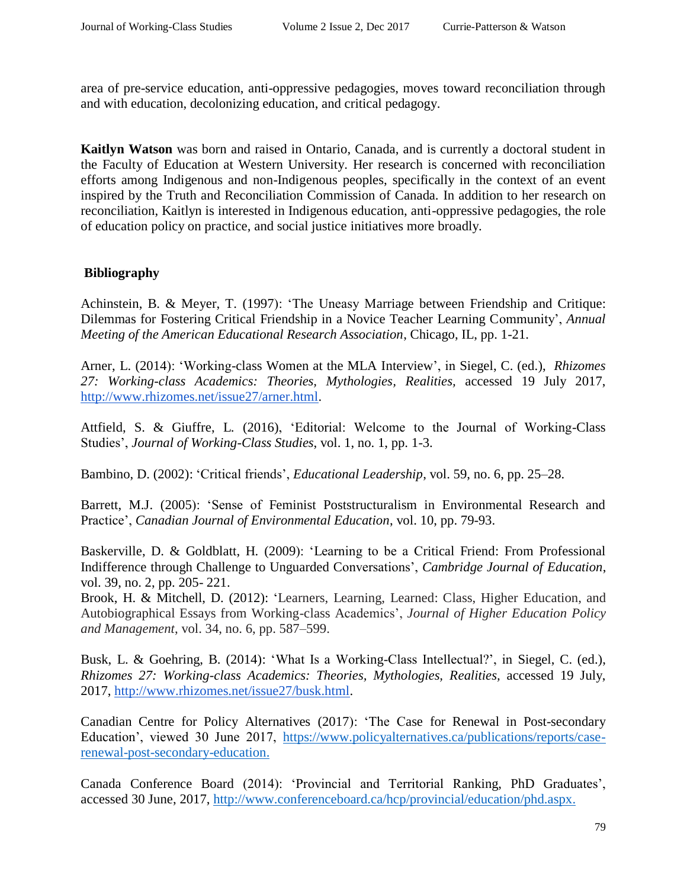area of pre-service education, anti-oppressive pedagogies, moves toward reconciliation through and with education, decolonizing education, and critical pedagogy.

**Kaitlyn Watson** was born and raised in Ontario, Canada, and is currently a doctoral student in the Faculty of Education at Western University. Her research is concerned with reconciliation efforts among Indigenous and non-Indigenous peoples, specifically in the context of an event inspired by the Truth and Reconciliation Commission of Canada. In addition to her research on reconciliation, Kaitlyn is interested in Indigenous education, anti-oppressive pedagogies, the role of education policy on practice, and social justice initiatives more broadly.

# **Bibliography**

Achinstein, B. & Meyer, T. (1997): 'The Uneasy Marriage between Friendship and Critique: Dilemmas for Fostering Critical Friendship in a Novice Teacher Learning Community', *Annual Meeting of the American Educational Research Association*, Chicago, IL, pp. 1-21.

Arner, L. (2014): 'Working-class Women at the MLA Interview', in Siegel, C. (ed.), *Rhizomes 27: Working-class Academics: Theories, Mythologies, Realities,* accessed 19 July 2017[,](http://www.rhizomes.net/issue27/arner.html) [http://www.rhizomes.net/issue27/arner.html.](http://www.rhizomes.net/issue27/arner.html)

Attfield, S. & Giuffre, L. (2016), 'Editorial: Welcome to the Journal of Working-Class Studies', *Journal of Working-Class Studies*, vol. 1, no. 1, pp. 1-3.

Bambino, D. (2002): 'Critical friends', *Educational Leadership*, vol. 59, no. 6, pp. 25–28.

Barrett, M.J. (2005): 'Sense of Feminist Poststructuralism in Environmental Research and Practice', *Canadian Journal of Environmental Education*, vol. 10, pp. 79-93.

Baskerville, D. & Goldblatt, H. (2009): 'Learning to be a Critical Friend: From Professional Indifference through Challenge to Unguarded Conversations', *Cambridge Journal of Education*, vol. 39, no. 2, pp. 205- 221.

Brook, H. & Mitchell, D. (2012): 'Learners, Learning, Learned: Class, Higher Education, and Autobiographical Essays from Working-class Academics', *Journal of Higher Education Policy and Management*, vol. 34, no. 6, pp. 587–599.

Busk, L. & Goehring, B. (2014): 'What Is a Working-Class Intellectual?', in Siegel, C. (ed.), *Rhizomes 27: Working-class Academics: Theories, Mythologies, Realities,* accessed 19 July, 2017[,](http://www.rhizomes.net/issue27/busk.html) [http://www.rhizomes.net/issue27/busk.html.](http://www.rhizomes.net/issue27/busk.html)

Canadian Centre for Policy Alternatives (2017): 'The Case for Renewal in Post-secondary Education', viewed 30 June 2017[,](https://www.policyalternatives.ca/publications/reports/case-renewal-post-secondary-education) [https://www.policyalternatives.ca/publications/reports/case](https://www.policyalternatives.ca/publications/reports/case-renewal-post-secondary-education%3E.)[renewal-post-secondary-education.](https://www.policyalternatives.ca/publications/reports/case-renewal-post-secondary-education%3E.)

Canada Conference Board (2014): 'Provincial and Territorial Ranking, PhD Graduates', accessed 30 June, 2017[,](http://www.conferenceboard.ca/hcp/provincial/education/phd.aspx) [http://www.conferenceboard.ca/hcp/provincial/education/phd.aspx.](http://www.conferenceboard.ca/hcp/provincial/education/phd.aspx%3E.)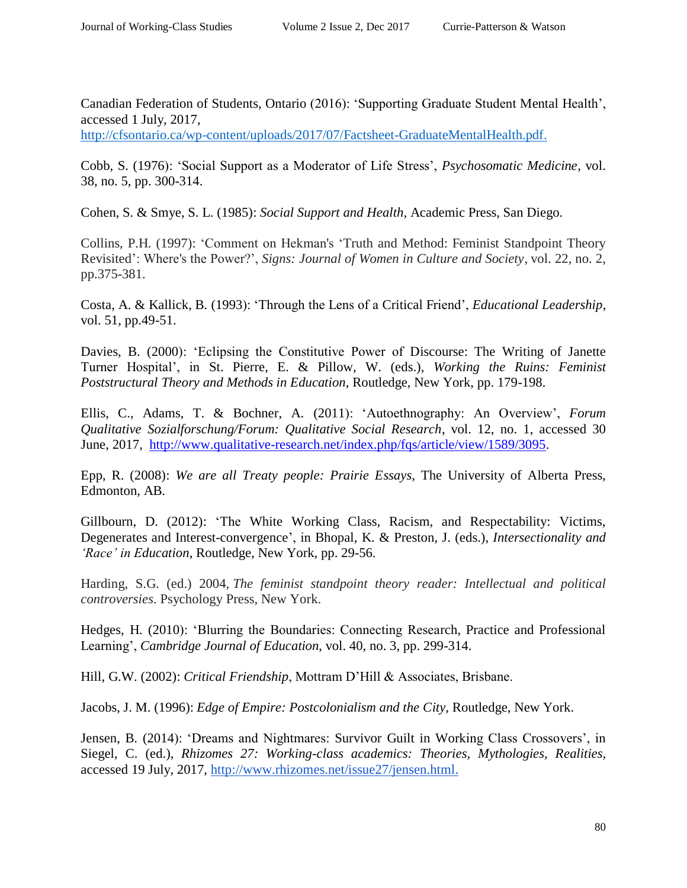Canadian Federation of Students, Ontario (2016): 'Supporting Graduate Student Mental Health', accessed 1 July, 2017,

[http://cfsontario.ca/wp-content/uploads/2017/07/Factsheet-GraduateMentalHealth.pdf.](http://cfsontario.ca/wp-content/uploads/2017/07/Factsheet-GraduateMentalHealth.pdf%3E.)

Cobb, S. (1976): 'Social Support as a Moderator of Life Stress', *Psychosomatic Medicine*, vol. 38, no. 5, pp. 300-314.

Cohen, S. & Smye, S. L. (1985): *Social Support and Health,* Academic Press, San Diego.

Collins, P.H. (1997): 'Comment on Hekman's 'Truth and Method: Feminist Standpoint Theory Revisited': Where's the Power?', *Signs: Journal of Women in Culture and Society*, vol. 22, no. 2, pp.375-381.

Costa, A. & Kallick, B. (1993): 'Through the Lens of a Critical Friend', *Educational Leadership*, vol. 51, pp.49-51.

Davies, B. (2000): 'Eclipsing the Constitutive Power of Discourse: The Writing of Janette Turner Hospital', in St. Pierre, E. & Pillow, W. (eds.), *Working the Ruins: Feminist Poststructural Theory and Methods in Education*, Routledge, New York, pp. 179-198.

Ellis, C., Adams, T. & Bochner, A. (2011): 'Autoethnography: An Overview', *Forum Qualitative Sozialforschung/Forum: Qualitative Social Research*, vol. 12, no. 1, accessed 30 June, 2017, [http://www.qualitative-research.net/index.php/fqs/article/view/1589/3095.](http://www.qualitative-research.net/index.php/fqs/article/view/1589/3095)

Epp, R. (2008): *We are all Treaty people: Prairie Essays*, The University of Alberta Press, Edmonton, AB.

Gillbourn, D. (2012): 'The White Working Class, Racism, and Respectability: Victims, Degenerates and Interest-convergence', in Bhopal, K. & Preston, J. (eds.), *Intersectionality and 'Race' in Education*, Routledge, New York, pp. 29-56.

Harding, S.G. (ed.) 2004, *The feminist standpoint theory reader: Intellectual and political controversies*. Psychology Press, New York.

Hedges, H. (2010): 'Blurring the Boundaries: Connecting Research, Practice and Professional Learning', *Cambridge Journal of Education*, vol. 40, no. 3, pp. 299-314.

Hill, G.W. (2002): *Critical Friendship*, Mottram D'Hill & Associates, Brisbane.

Jacobs, J. M. (1996): *Edge of Empire: Postcolonialism and the City,* Routledge, New York.

Jensen, B. (2014): 'Dreams and Nightmares: Survivor Guilt in Working Class Crossovers', in Siegel, C. (ed.), *Rhizomes 27: Working-class academics: Theories, Mythologies, Realities,*  accessed 19 July, 2017, [http://www.rhizomes.net/issue27/jensen.html.](http://www.rhizomes.net/issue27/jensen.html)